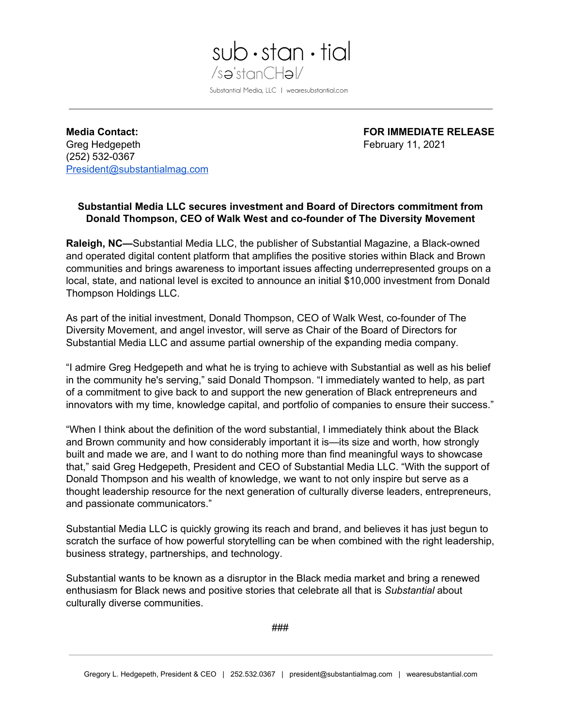

**Media Contact: FOR IMMEDIATE RELEASE** Greg Hedgepeth **February 11, 2021** (252) 532-0367 [President@substantialmag.com](mailto:President@substantialmag.com)

# **Substantial Media LLC secures investment and Board of Directors commitment from Donald Thompson, CEO of Walk West and co-founder of The Diversity Movement**

**Raleigh, NC—**Substantial Media LLC, the publisher of Substantial Magazine, a Black-owned and operated digital content platform that amplifies the positive stories within Black and Brown communities and brings awareness to important issues affecting underrepresented groups on a local, state, and national level is excited to announce an initial \$10,000 investment from Donald Thompson Holdings LLC.

As part of the initial investment, Donald Thompson, CEO of Walk West, co-founder of The Diversity Movement, and angel investor, will serve as Chair of the Board of Directors for Substantial Media LLC and assume partial ownership of the expanding media company.

"I admire Greg Hedgepeth and what he is trying to achieve with Substantial as well as his belief in the community he's serving," said Donald Thompson. "I immediately wanted to help, as part of a commitment to give back to and support the new generation of Black entrepreneurs and innovators with my time, knowledge capital, and portfolio of companies to ensure their success."

"When I think about the definition of the word substantial, I immediately think about the Black and Brown community and how considerably important it is—its size and worth, how strongly built and made we are, and I want to do nothing more than find meaningful ways to showcase that," said Greg Hedgepeth, President and CEO of Substantial Media LLC. "With the support of Donald Thompson and his wealth of knowledge, we want to not only inspire but serve as a thought leadership resource for the next generation of culturally diverse leaders, entrepreneurs, and passionate communicators."

Substantial Media LLC is quickly growing its reach and brand, and believes it has just begun to scratch the surface of how powerful storytelling can be when combined with the right leadership, business strategy, partnerships, and technology.

Substantial wants to be known as a disruptor in the Black media market and bring a renewed enthusiasm for Black news and positive stories that celebrate all that is *Substantial* about culturally diverse communities.

###